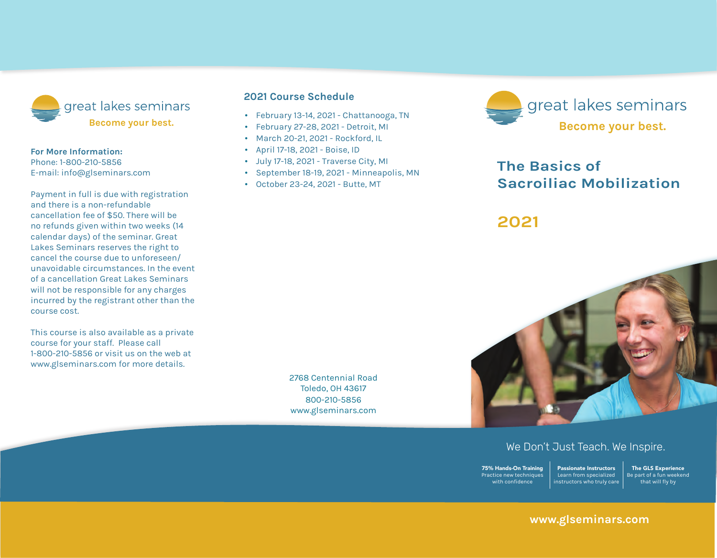

#### **For More Information:**

Phone: 1-800-210-5856 E-mail: info@glseminars.com

Payment in full is due with registration and there is a non-refundable cancellation fee of \$50. There will be no refunds given within two weeks (14 calendar days) of the seminar. Great Lakes Seminars reserves the right to cancel the course due to unforeseen/ unavoidable circumstances. In the event of a cancellation Great Lakes Seminars will not be responsible for any charges incurred by the registrant other than the course cost.

This course is also available as a private course for your staff. Please call 1-800-210-5856 or visit us on the web at www.glseminars.com for more details.

#### **2022 Course Schedule**

- January 29-30, 2022 Baltimore, MD
- March 5-6, 2022 Richmond, VA
- April 2-3, 2022 Chattanooga, TN
- July 23-24, 2022 Online & Toledo, OH
- September 24-25, 2022 East Windsor, NJ
- October 22-23, 2022 Washington DC
- November 12-13, 2022 Asheville, NC

Please check our website for the most updated schedule: www.glseminars.com



# **The Basics of Sacroiliac Mobilization**

## **2022**



### We Don't Just Teach. We Inspire.

75% Hands-On Training Practice new techniques with confidence Passionate Instructors Learn from specialized instructors who truly care

The GLS Experience Be part of a fun weekend that will fly by

## **www.glseminars.com**